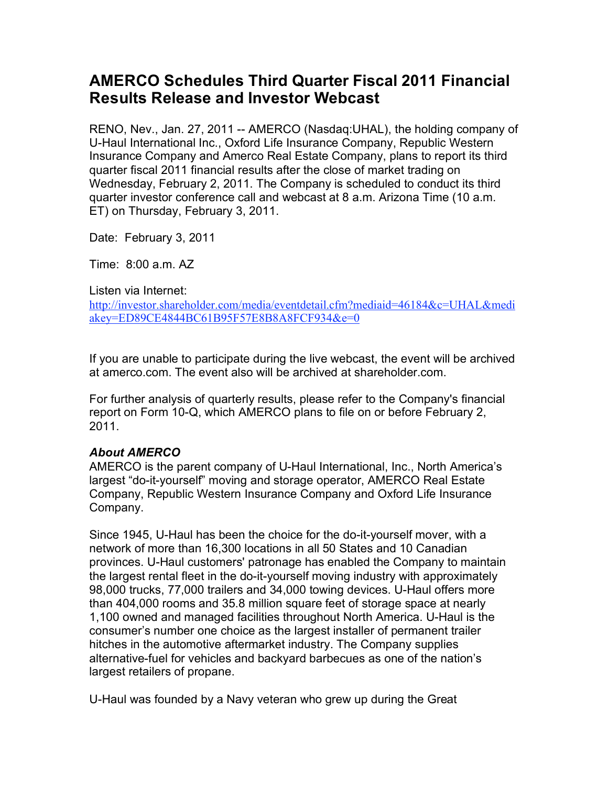## **AMERCO Schedules Third Quarter Fiscal 2011 Financial Results Release and Investor Webcast**

RENO, Nev., Jan. 27, 2011 -- AMERCO (Nasdaq:UHAL), the holding company of U-Haul International Inc., Oxford Life Insurance Company, Republic Western Insurance Company and Amerco Real Estate Company, plans to report its third quarter fiscal 2011 financial results after the close of market trading on Wednesday, February 2, 2011. The Company is scheduled to conduct its third quarter investor conference call and webcast at 8 a.m. Arizona Time (10 a.m. ET) on Thursday, February 3, 2011.

Date: February 3, 2011

Time: 8:00 a.m. AZ

Listen via Internet:

http://investor.shareholder.com/media/eventdetail.cfm?mediaid=46184&c=UHAL&medi akey=ED89CE4844BC61B95F57E8B8A8FCF934&e=0

If you are unable to participate during the live webcast, the event will be archived at amerco.com. The event also will be archived at shareholder.com.

For further analysis of quarterly results, please refer to the Company's financial report on Form 10-Q, which AMERCO plans to file on or before February 2, 2011.

## *About AMERCO*

AMERCO is the parent company of U-Haul International, Inc., North America's largest "do-it-yourself" moving and storage operator, AMERCO Real Estate Company, Republic Western Insurance Company and Oxford Life Insurance Company.

Since 1945, U-Haul has been the choice for the do-it-yourself mover, with a network of more than 16,300 locations in all 50 States and 10 Canadian provinces. U-Haul customers' patronage has enabled the Company to maintain the largest rental fleet in the do-it-yourself moving industry with approximately 98,000 trucks, 77,000 trailers and 34,000 towing devices. U-Haul offers more than 404,000 rooms and 35.8 million square feet of storage space at nearly 1,100 owned and managed facilities throughout North America. U-Haul is the consumer's number one choice as the largest installer of permanent trailer hitches in the automotive aftermarket industry. The Company supplies alternative-fuel for vehicles and backyard barbecues as one of the nation's largest retailers of propane.

U-Haul was founded by a Navy veteran who grew up during the Great